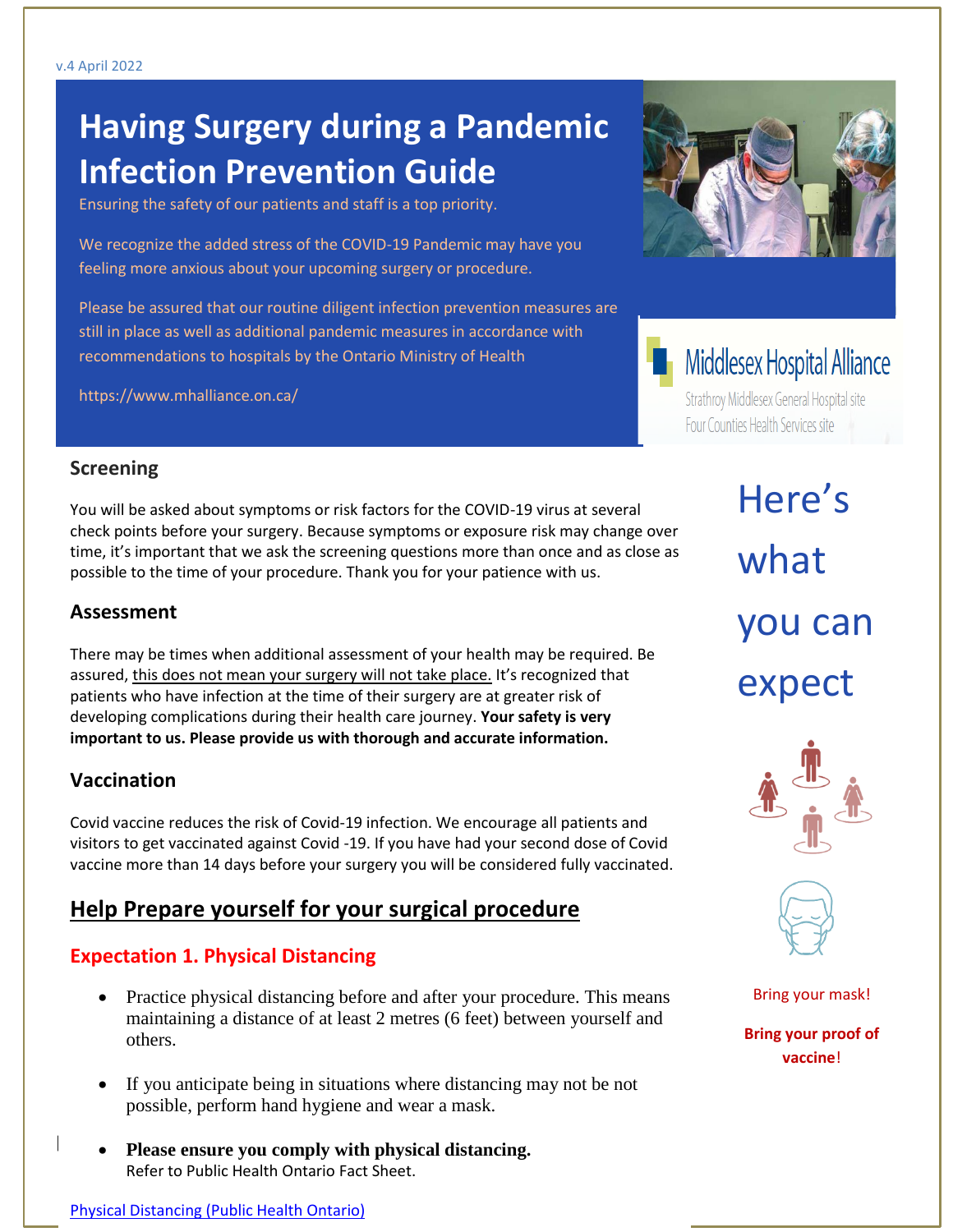# **Having Surgery during a Pandemic Infection Prevention Guide**

Ensuring the safety of our patients and staff is a top priority.

We recognize the added stress of the COVID-19 Pandemic may have you feeling more anxious about your upcoming surgery or procedure.

Please be assured that our routine diligent infection prevention measures are still in place as well as additional pandemic measures in accordance with recommendations to hospitals by the Ontario Ministry of Health

https://www.mhalliance.on.ca/



# **H** Middlesex Hospital Alliance

Strathroy Middlesex General Hospital site Four Counties Health Services site

#### **Screening**

You will be asked about symptoms or risk factors for the COVID-19 virus at several check points before your surgery. Because symptoms or exposure risk may change over time, it's important that we ask the screening questions more than once and as close as possible to the time of your procedure. Thank you for your patience with us.

#### **Assessment**

There may be times when additional assessment of your health may be required. Be assured, this does not mean your surgery will not take place. It's recognized that patients who have infection at the time of their surgery are at greater risk of developing complications during their health care journey. **Your safety is very important to us. Please provide us with thorough and accurate information.** 

#### **Vaccination**

Covid vaccine reduces the risk of Covid-19 infection. We encourage all patients and visitors to get vaccinated against Covid -19. If you have had your second dose of Covid vaccine more than 14 days before your surgery you will be considered fully vaccinated.

# **Help Prepare yourself for your surgical procedure**

### **Expectation 1. Physical Distancing**

- Practice physical distancing before and after your procedure. This means maintaining a distance of at least 2 metres (6 feet) between yourself and others.
- If you anticipate being in situations where distancing may not be not possible, perform hand hygiene and wear a mask.
- **example 1 Please ensure you comply with physical distancing.** Refer to Public Health Ontario Fact Sheet.

Here's what you can expect





Bring your mask!

**Bring your proof of vaccine**!